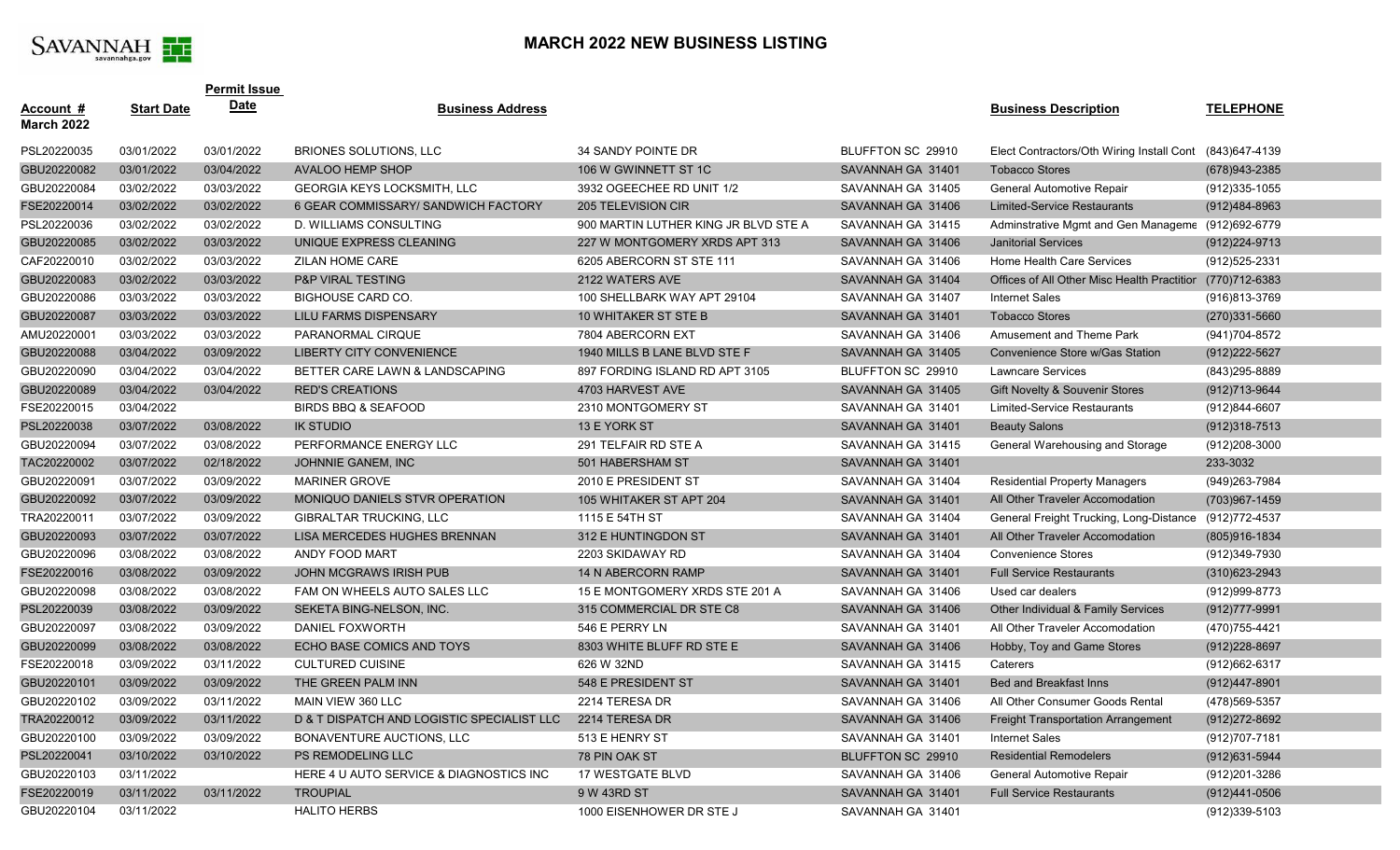

## **MARCH 2022 NEW BUSINESS LISTING**

|                                       |                   | <b>Permit Issue</b> |                                            |                                      |                   |                                                         |                   |
|---------------------------------------|-------------------|---------------------|--------------------------------------------|--------------------------------------|-------------------|---------------------------------------------------------|-------------------|
| <u>Account #</u><br><b>March 2022</b> | <b>Start Date</b> | <b>Date</b>         | <b>Business Address</b>                    |                                      |                   | <b>Business Description</b>                             | <b>TELEPHONE</b>  |
| PSL20220035                           | 03/01/2022        | 03/01/2022          | BRIONES SOLUTIONS, LLC                     | 34 SANDY POINTE DR                   | BLUFFTON SC 29910 | Elect Contractors/Oth Wiring Install Cont (843)647-4139 |                   |
| GBU20220082                           | 03/01/2022        | 03/04/2022          | <b>AVALOO HEMP SHOP</b>                    | 106 W GWINNETT ST 1C                 | SAVANNAH GA 31401 | <b>Tobacco Stores</b>                                   | (678) 943-2385    |
| GBU20220084                           | 03/02/2022        | 03/03/2022          | <b>GEORGIA KEYS LOCKSMITH, LLC</b>         | 3932 OGEECHEE RD UNIT 1/2            | SAVANNAH GA 31405 | General Automotive Repair                               | (912)335-1055     |
| FSE20220014                           | 03/02/2022        | 03/02/2022          | 6 GEAR COMMISSARY/ SANDWICH FACTORY        | 205 TELEVISION CIR                   | SAVANNAH GA 31406 | <b>Limited-Service Restaurants</b>                      | (912)484-8963     |
| PSL20220036                           | 03/02/2022        | 03/02/2022          | D. WILLIAMS CONSULTING                     | 900 MARTIN LUTHER KING JR BLVD STE A | SAVANNAH GA 31415 | Adminstrative Mgmt and Gen Manageme (912)692-6779       |                   |
| GBU20220085                           | 03/02/2022        | 03/03/2022          | UNIQUE EXPRESS CLEANING                    | 227 W MONTGOMERY XRDS APT 313        | SAVANNAH GA 31406 | <b>Janitorial Services</b>                              | (912) 224-9713    |
| CAF20220010                           | 03/02/2022        | 03/03/2022          | <b>ZILAN HOME CARE</b>                     | 6205 ABERCORN ST STE 111             | SAVANNAH GA 31406 | <b>Home Health Care Services</b>                        | (912) 525-2331    |
| GBU20220083                           | 03/02/2022        | 03/03/2022          | <b>P&amp;P VIRAL TESTING</b>               | 2122 WATERS AVE                      | SAVANNAH GA 31404 | Offices of All Other Misc Health Practitior             | (770)712-6383     |
| GBU20220086                           | 03/03/2022        | 03/03/2022          | <b>BIGHOUSE CARD CO.</b>                   | 100 SHELLBARK WAY APT 29104          | SAVANNAH GA 31407 | <b>Internet Sales</b>                                   | (916)813-3769     |
| GBU20220087                           | 03/03/2022        | 03/03/2022          | LILU FARMS DISPENSARY                      | 10 WHITAKER ST STE B                 | SAVANNAH GA 31401 | <b>Tobacco Stores</b>                                   | $(270)331 - 5660$ |
| AMU20220001                           | 03/03/2022        | 03/03/2022          | PARANORMAL CIRQUE                          | 7804 ABERCORN EXT                    | SAVANNAH GA 31406 | Amusement and Theme Park                                | (941) 704-8572    |
| GBU20220088                           | 03/04/2022        | 03/09/2022          | LIBERTY CITY CONVENIENCE                   | 1940 MILLS B LANE BLVD STE F         | SAVANNAH GA 31405 | Convenience Store w/Gas Station                         | $(912)222 - 5627$ |
| GBU20220090                           | 03/04/2022        | 03/04/2022          | BETTER CARE LAWN & LANDSCAPING             | 897 FORDING ISLAND RD APT 3105       | BLUFFTON SC 29910 | <b>Lawncare Services</b>                                | (843) 295-8889    |
| GBU20220089                           | 03/04/2022        | 03/04/2022          | <b>RED'S CREATIONS</b>                     | 4703 HARVEST AVE                     | SAVANNAH GA 31405 | Gift Novelty & Souvenir Stores                          | (912)713-9644     |
| FSE20220015                           | 03/04/2022        |                     | <b>BIRDS BBQ &amp; SEAFOOD</b>             | 2310 MONTGOMERY ST                   | SAVANNAH GA 31401 | <b>Limited-Service Restaurants</b>                      | (912)844-6607     |
| PSL20220038                           | 03/07/2022        | 03/08/2022          | <b>IK STUDIO</b>                           | 13 E YORK ST                         | SAVANNAH GA 31401 | <b>Beauty Salons</b>                                    | $(912)318 - 7513$ |
| GBU20220094                           | 03/07/2022        | 03/08/2022          | PERFORMANCE ENERGY LLC                     | 291 TELFAIR RD STE A                 | SAVANNAH GA 31415 | General Warehousing and Storage                         | (912) 208-3000    |
| TAC20220002                           | 03/07/2022        | 02/18/2022          | JOHNNIE GANEM, INC                         | 501 HABERSHAM ST                     | SAVANNAH GA 31401 |                                                         | 233-3032          |
| GBU20220091                           | 03/07/2022        | 03/09/2022          | <b>MARINER GROVE</b>                       | 2010 E PRESIDENT ST                  | SAVANNAH GA 31404 | <b>Residential Property Managers</b>                    | (949) 263-7984    |
| GBU20220092                           | 03/07/2022        | 03/09/2022          | MONIQUO DANIELS STVR OPERATION             | 105 WHITAKER ST APT 204              | SAVANNAH GA 31401 | All Other Traveler Accomodation                         | (703)967-1459     |
| TRA20220011                           | 03/07/2022        | 03/09/2022          | <b>GIBRALTAR TRUCKING, LLC</b>             | 1115 E 54TH ST                       | SAVANNAH GA 31404 | General Freight Trucking, Long-Distance                 | (912)772-4537     |
| GBU20220093                           | 03/07/2022        | 03/07/2022          | LISA MERCEDES HUGHES BRENNAN               | 312 E HUNTINGDON ST                  | SAVANNAH GA 31401 | All Other Traveler Accomodation                         | (805)916-1834     |
| GBU20220096                           | 03/08/2022        | 03/08/2022          | ANDY FOOD MART                             | 2203 SKIDAWAY RD                     | SAVANNAH GA 31404 | <b>Convenience Stores</b>                               | (912)349-7930     |
| FSE20220016                           | 03/08/2022        | 03/09/2022          | JOHN MCGRAWS IRISH PUB                     | 14 N ABERCORN RAMP                   | SAVANNAH GA 31401 | <b>Full Service Restaurants</b>                         | $(310)623 - 2943$ |
| GBU20220098                           | 03/08/2022        | 03/08/2022          | FAM ON WHEELS AUTO SALES LLC               | 15 E MONTGOMERY XRDS STE 201 A       | SAVANNAH GA 31406 | Used car dealers                                        | (912)999-8773     |
| PSL20220039                           | 03/08/2022        | 03/09/2022          | SEKETA BING-NELSON, INC.                   | 315 COMMERCIAL DR STE C8             | SAVANNAH GA 31406 | Other Individual & Family Services                      | (912) 777-9991    |
| GBU20220097                           | 03/08/2022        | 03/09/2022          | DANIEL FOXWORTH                            | 546 E PERRY LN                       | SAVANNAH GA 31401 | All Other Traveler Accomodation                         | (470) 755-4421    |
| GBU20220099                           | 03/08/2022        | 03/08/2022          | ECHO BASE COMICS AND TOYS                  | 8303 WHITE BLUFF RD STE E            | SAVANNAH GA 31406 | Hobby, Toy and Game Stores                              | $(912)228 - 8697$ |
| FSE20220018                           | 03/09/2022        | 03/11/2022          | <b>CULTURED CUISINE</b>                    | 626 W 32ND                           | SAVANNAH GA 31415 | Caterers                                                | (912) 662-6317    |
| GBU20220101                           | 03/09/2022        | 03/09/2022          | THE GREEN PALM INN                         | 548 E PRESIDENT ST                   | SAVANNAH GA 31401 | <b>Bed and Breakfast Inns</b>                           | $(912)447 - 8901$ |
| GBU20220102                           | 03/09/2022        | 03/11/2022          | MAIN VIEW 360 LLC                          | 2214 TERESA DR                       | SAVANNAH GA 31406 | All Other Consumer Goods Rental                         | (478) 569-5357    |
| TRA20220012                           | 03/09/2022        | 03/11/2022          | D & T DISPATCH AND LOGISTIC SPECIALIST LLC | 2214 TERESA DR                       | SAVANNAH GA 31406 | <b>Freight Transportation Arrangement</b>               | (912) 272-8692    |
| GBU20220100                           | 03/09/2022        | 03/09/2022          | BONAVENTURE AUCTIONS, LLC                  | 513 E HENRY ST                       | SAVANNAH GA 31401 | <b>Internet Sales</b>                                   | (912) 707-7181    |
| PSL20220041                           | 03/10/2022        | 03/10/2022          | PS REMODELING LLC                          | 78 PIN OAK ST                        | BLUFFTON SC 29910 | <b>Residential Remodelers</b>                           | (912) 631-5944    |
| GBU20220103                           | 03/11/2022        |                     | HERE 4 U AUTO SERVICE & DIAGNOSTICS INC    | 17 WESTGATE BLVD                     | SAVANNAH GA 31406 | General Automotive Repair                               | (912)201-3286     |
| FSE20220019                           | 03/11/2022        | 03/11/2022          | <b>TROUPIAL</b>                            | 9 W 43RD ST                          | SAVANNAH GA 31401 | <b>Full Service Restaurants</b>                         | (912)441-0506     |
| GBU20220104                           | 03/11/2022        |                     | <b>HALITO HERBS</b>                        | 1000 EISENHOWER DR STE J             | SAVANNAH GA 31401 |                                                         | (912)339-5103     |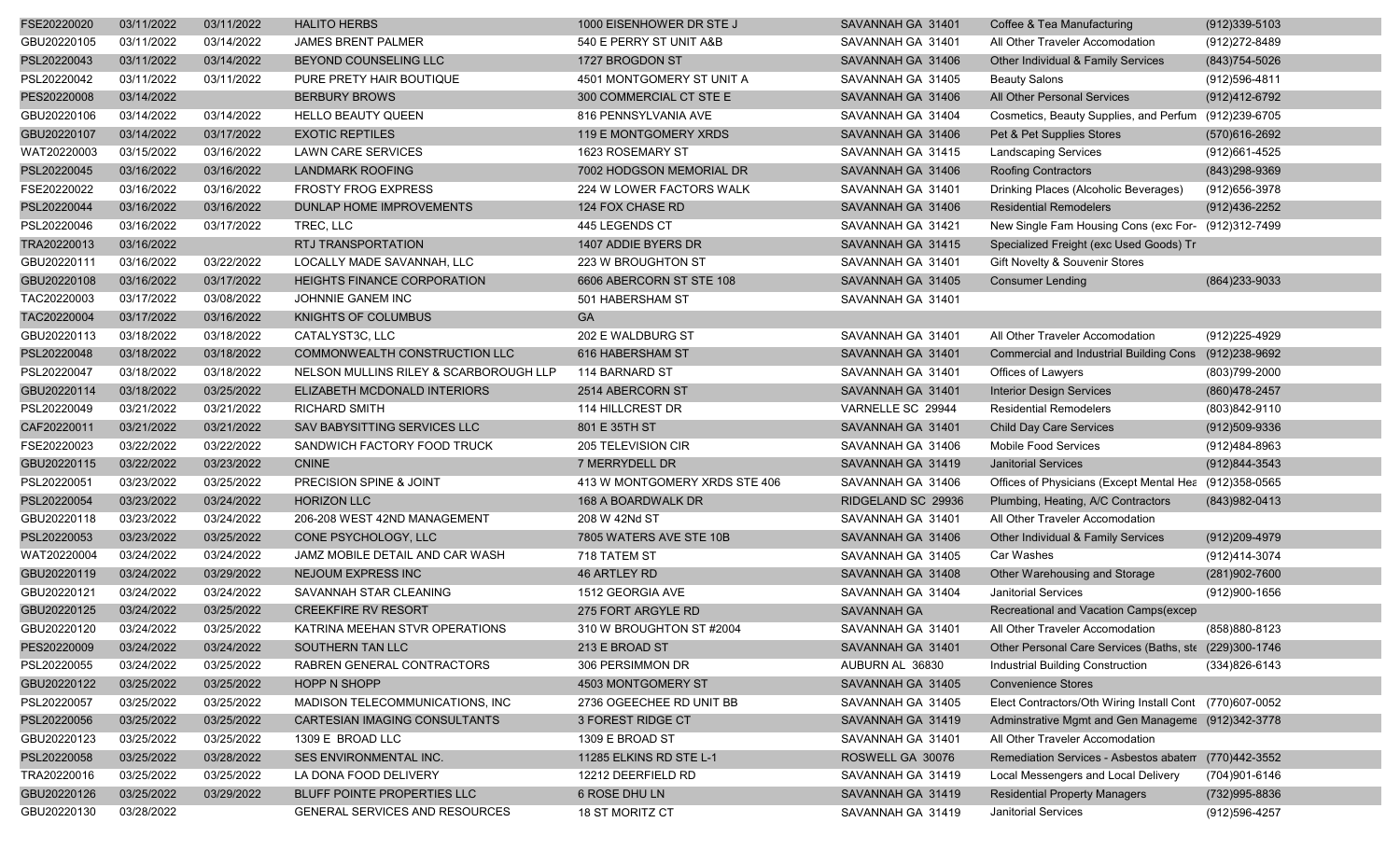| FSE20220020 | 03/11/2022 | 03/11/2022 | <b>HALITO HERBS</b>                    | 1000 EISENHOWER DR STE J      | SAVANNAH GA 31401  | Coffee & Tea Manufacturing                              | $(912)339 - 5103$ |
|-------------|------------|------------|----------------------------------------|-------------------------------|--------------------|---------------------------------------------------------|-------------------|
| GBU20220105 | 03/11/2022 | 03/14/2022 | <b>JAMES BRENT PALMER</b>              | 540 E PERRY ST UNIT A&B       | SAVANNAH GA 31401  | All Other Traveler Accomodation                         | (912) 272-8489    |
| PSL20220043 | 03/11/2022 | 03/14/2022 | BEYOND COUNSELING LLC                  | 1727 BROGDON ST               | SAVANNAH GA 31406  | Other Individual & Family Services                      | (843) 754-5026    |
| PSL20220042 | 03/11/2022 | 03/11/2022 | PURE PRETY HAIR BOUTIQUE               | 4501 MONTGOMERY ST UNIT A     | SAVANNAH GA 31405  | <b>Beauty Salons</b>                                    | (912)596-4811     |
| PES20220008 | 03/14/2022 |            | <b>BERBURY BROWS</b>                   | 300 COMMERCIAL CT STE E       | SAVANNAH GA 31406  | All Other Personal Services                             | (912)412-6792     |
| GBU20220106 | 03/14/2022 | 03/14/2022 | <b>HELLO BEAUTY QUEEN</b>              | 816 PENNSYLVANIA AVE          | SAVANNAH GA 31404  | Cosmetics, Beauty Supplies, and Perfum (912)239-6705    |                   |
| GBU20220107 | 03/14/2022 | 03/17/2022 | <b>EXOTIC REPTILES</b>                 | 119 E MONTGOMERY XRDS         | SAVANNAH GA 31406  | Pet & Pet Supplies Stores                               | (570)616-2692     |
| WAT20220003 | 03/15/2022 | 03/16/2022 | <b>LAWN CARE SERVICES</b>              | 1623 ROSEMARY ST              | SAVANNAH GA 31415  | <b>Landscaping Services</b>                             | (912)661-4525     |
| PSL20220045 | 03/16/2022 | 03/16/2022 | <b>LANDMARK ROOFING</b>                | 7002 HODGSON MEMORIAL DR      | SAVANNAH GA 31406  | <b>Roofing Contractors</b>                              | (843) 298-9369    |
| FSE20220022 | 03/16/2022 | 03/16/2022 | <b>FROSTY FROG EXPRESS</b>             | 224 W LOWER FACTORS WALK      | SAVANNAH GA 31401  | Drinking Places (Alcoholic Beverages)                   | (912) 656-3978    |
| PSL20220044 | 03/16/2022 | 03/16/2022 | DUNLAP HOME IMPROVEMENTS               | 124 FOX CHASE RD              | SAVANNAH GA 31406  | <b>Residential Remodelers</b>                           | (912) 436-2252    |
| PSL20220046 | 03/16/2022 | 03/17/2022 | TREC, LLC                              | 445 LEGENDS CT                | SAVANNAH GA 31421  | New Single Fam Housing Cons (exc For- (912)312-7499     |                   |
| TRA20220013 | 03/16/2022 |            | <b>RTJ TRANSPORTATION</b>              | 1407 ADDIE BYERS DR           | SAVANNAH GA 31415  | Specialized Freight (exc Used Goods) Tr                 |                   |
| GBU20220111 | 03/16/2022 | 03/22/2022 | LOCALLY MADE SAVANNAH, LLC             | 223 W BROUGHTON ST            | SAVANNAH GA 31401  | Gift Novelty & Souvenir Stores                          |                   |
| GBU20220108 | 03/16/2022 | 03/17/2022 | HEIGHTS FINANCE CORPORATION            | 6606 ABERCORN ST STE 108      | SAVANNAH GA 31405  | <b>Consumer Lending</b>                                 | (864) 233-9033    |
| TAC20220003 | 03/17/2022 | 03/08/2022 | JOHNNIE GANEM INC                      | 501 HABERSHAM ST              | SAVANNAH GA 31401  |                                                         |                   |
| TAC20220004 | 03/17/2022 | 03/16/2022 | KNIGHTS OF COLUMBUS                    | GA                            |                    |                                                         |                   |
| GBU20220113 | 03/18/2022 | 03/18/2022 | CATALYST3C, LLC                        | 202 E WALDBURG ST             | SAVANNAH GA 31401  | All Other Traveler Accomodation                         | (912) 225-4929    |
| PSL20220048 | 03/18/2022 | 03/18/2022 | COMMONWEALTH CONSTRUCTION LLC          | 616 HABERSHAM ST              | SAVANNAH GA 31401  | <b>Commercial and Industrial Building Cons</b>          | (912)238-9692     |
| PSL20220047 | 03/18/2022 | 03/18/2022 | NELSON MULLINS RILEY & SCARBOROUGH LLP | 114 BARNARD ST                | SAVANNAH GA 31401  | Offices of Lawyers                                      | (803) 799-2000    |
| GBU20220114 | 03/18/2022 | 03/25/2022 | ELIZABETH MCDONALD INTERIORS           | 2514 ABERCORN ST              | SAVANNAH GA 31401  | <b>Interior Design Services</b>                         | (860) 478-2457    |
| PSL20220049 | 03/21/2022 | 03/21/2022 | <b>RICHARD SMITH</b>                   | 114 HILLCREST DR              | VARNELLE SC 29944  | <b>Residential Remodelers</b>                           | (803)842-9110     |
| CAF20220011 | 03/21/2022 | 03/21/2022 | SAV BABYSITTING SERVICES LLC           | 801 E 35TH ST                 | SAVANNAH GA 31401  | <b>Child Day Care Services</b>                          | (912)509-9336     |
| FSE20220023 | 03/22/2022 | 03/22/2022 | SANDWICH FACTORY FOOD TRUCK            | 205 TELEVISION CIR            | SAVANNAH GA 31406  | <b>Mobile Food Services</b>                             | (912)484-8963     |
| GBU20220115 | 03/22/2022 | 03/23/2022 | <b>CNINE</b>                           | 7 MERRYDELL DR                | SAVANNAH GA 31419  | <b>Janitorial Services</b>                              | (912)844-3543     |
| PSL20220051 | 03/23/2022 | 03/25/2022 | PRECISION SPINE & JOINT                | 413 W MONTGOMERY XRDS STE 406 | SAVANNAH GA 31406  | Offices of Physicians (Except Mental Hea (912)358-0565  |                   |
| PSL20220054 | 03/23/2022 | 03/24/2022 | <b>HORIZON LLC</b>                     | 168 A BOARDWALK DR            | RIDGELAND SC 29936 | Plumbing, Heating, A/C Contractors                      | (843) 982-0413    |
| GBU20220118 | 03/23/2022 | 03/24/2022 | 206-208 WEST 42ND MANAGEMENT           | 208 W 42Nd ST                 | SAVANNAH GA 31401  | All Other Traveler Accomodation                         |                   |
| PSL20220053 | 03/23/2022 | 03/25/2022 | CONE PSYCHOLOGY, LLC                   | 7805 WATERS AVE STE 10B       | SAVANNAH GA 31406  | Other Individual & Family Services                      | (912) 209-4979    |
| WAT20220004 | 03/24/2022 | 03/24/2022 | JAMZ MOBILE DETAIL AND CAR WASH        | 718 TATEM ST                  | SAVANNAH GA 31405  | Car Washes                                              | (912)414-3074     |
| GBU20220119 | 03/24/2022 | 03/29/2022 | NEJOUM EXPRESS INC                     | 46 ARTLEY RD                  | SAVANNAH GA 31408  | Other Warehousing and Storage                           | $(281)902 - 7600$ |
| GBU20220121 | 03/24/2022 | 03/24/2022 | SAVANNAH STAR CLEANING                 | 1512 GEORGIA AVE              | SAVANNAH GA 31404  | <b>Janitorial Services</b>                              | (912)900-1656     |
| GBU20220125 | 03/24/2022 | 03/25/2022 | <b>CREEKFIRE RV RESORT</b>             | 275 FORT ARGYLE RD            | <b>SAVANNAH GA</b> | Recreational and Vacation Camps (excep                  |                   |
| GBU20220120 | 03/24/2022 | 03/25/2022 | KATRINA MEEHAN STVR OPERATIONS         | 310 W BROUGHTON ST #2004      | SAVANNAH GA 31401  | All Other Traveler Accomodation                         | (858)880-8123     |
| PES20220009 | 03/24/2022 | 03/24/2022 | SOUTHERN TAN LLC                       | 213 E BROAD ST                | SAVANNAH GA 31401  | Other Personal Care Services (Baths, ste (229)300-1746  |                   |
| PSL20220055 | 03/24/2022 | 03/25/2022 | RABREN GENERAL CONTRACTORS             | 306 PERSIMMON DR              | AUBURN AL 36830    | Industrial Building Construction                        | (334) 826-6143    |
| GBU20220122 | 03/25/2022 | 03/25/2022 | HOPP N SHOPP                           | 4503 MONTGOMERY ST            | SAVANNAH GA 31405  | <b>Convenience Stores</b>                               |                   |
| PSL20220057 | 03/25/2022 | 03/25/2022 | MADISON TELECOMMUNICATIONS, INC        | 2736 OGEECHEE RD UNIT BB      | SAVANNAH GA 31405  | Elect Contractors/Oth Wiring Install Cont (770)607-0052 |                   |
| PSL20220056 | 03/25/2022 | 03/25/2022 | CARTESIAN IMAGING CONSULTANTS          | 3 FOREST RIDGE CT             | SAVANNAH GA 31419  | Adminstrative Mgmt and Gen Manageme (912)342-3778       |                   |
| GBU20220123 | 03/25/2022 | 03/25/2022 | 1309 E BROAD LLC                       | 1309 E BROAD ST               | SAVANNAH GA 31401  | All Other Traveler Accomodation                         |                   |
| PSL20220058 | 03/25/2022 | 03/28/2022 | SES ENVIRONMENTAL INC.                 | 11285 ELKINS RD STE L-1       | ROSWELL GA 30076   | Remediation Services - Asbestos abaten (770)442-3552    |                   |
| TRA20220016 | 03/25/2022 | 03/25/2022 | LA DONA FOOD DELIVERY                  | 12212 DEERFIELD RD            | SAVANNAH GA 31419  | Local Messengers and Local Delivery                     | (704)901-6146     |
| GBU20220126 | 03/25/2022 | 03/29/2022 | BLUFF POINTE PROPERTIES LLC            | 6 ROSE DHU LN                 | SAVANNAH GA 31419  | <b>Residential Property Managers</b>                    | (732)995-8836     |
| GBU20220130 | 03/28/2022 |            | GENERAL SERVICES AND RESOURCES         | 18 ST MORITZ CT               | SAVANNAH GA 31419  | Janitorial Services                                     | (912) 596-4257    |